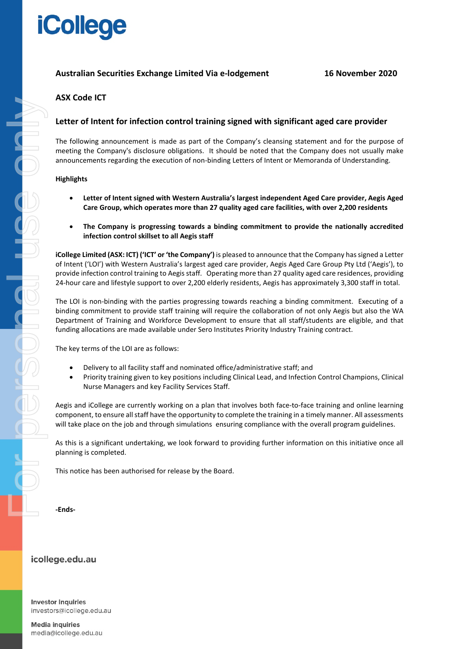# **iCollege**

### **Australian Securities Exchange Limited Via e-lodgement 16 November 2020**

## **ASX Code ICT**

### **Letter of Intent for infection control training signed with significant aged care provider**

The following announcement is made as part of the Company's cleansing statement and for the purpose of meeting the Company's disclosure obligations. It should be noted that the Company does not usually make announcements regarding the execution of non-binding Letters of Intent or Memoranda of Understanding.

#### **Highlights**

- **Letter of Intent signed with Western Australia's largest independent Aged Care provider, Aegis Aged Care Group, which operates more than 27 quality aged care facilities, with over 2,200 residents**
- **The Company is progressing towards a binding commitment to provide the nationally accredited infection control skillset to all Aegis staff**

**iCollege Limited (ASX: ICT) ('ICT' or 'the Company')** is pleased to announce that the Company hassigned a Letter of Intent ('LOI') with Western Australia's largest aged care provider, Aegis Aged Care Group Pty Ltd ('Aegis'), to provide infection control training to Aegis staff. Operating more than 27 quality aged care residences, providing 24-hour care and lifestyle support to over 2,200 elderly residents, Aegis has approximately 3,300 staff in total.

The LOI is non-binding with the parties progressing towards reaching a binding commitment. Executing of a binding commitment to provide staff training will require the collaboration of not only Aegis but also the WA Department of Training and Workforce Development to ensure that all staff/students are eligible, and that funding allocations are made available under Sero Institutes Priority Industry Training contract.

The key terms of the LOI are as follows:

- Delivery to all facility staff and nominated office/administrative staff; and
- Priority training given to key positions including Clinical Lead, and Infection Control Champions, Clinical Nurse Managers and key Facility Services Staff.

Aegis and iCollege are currently working on a plan that involves both face-to-face training and online learning component, to ensure all staff have the opportunity to complete the training in a timely manner. All assessments will take place on the job and through simulations ensuring compliance with the overall program guidelines.

As this is a significant undertaking, we look forward to providing further information on this initiative once all planning is completed.

This notice has been authorised for release by the Board.

**-Ends-**

#### icollege.edu.au

**Investor inquiries** investors@icollege.edu.au

**Media inquiries** media@icollege.edu.au